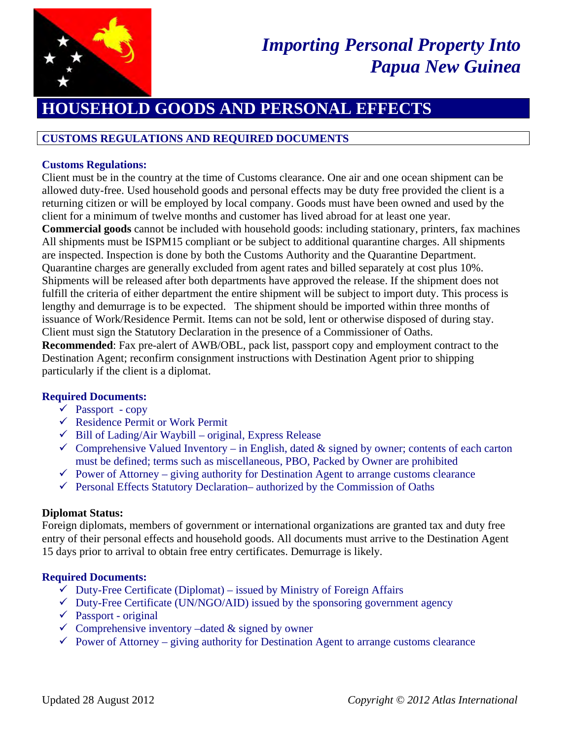

# *Importing Personal Property Into Papua New Guinea*

## **HOUSEHOLD GOODS AND PERSONAL EFFECTS**

## **CUSTOMS REGULATIONS AND REQUIRED DOCUMENTS**

### **Customs Regulations:**

Client must be in the country at the time of Customs clearance. One air and one ocean shipment can be allowed duty-free. Used household goods and personal effects may be duty free provided the client is a returning citizen or will be employed by local company. Goods must have been owned and used by the client for a minimum of twelve months and customer has lived abroad for at least one year.

**Commercial goods** cannot be included with household goods: including stationary, printers, fax machines All shipments must be ISPM15 compliant or be subject to additional quarantine charges. All shipments are inspected. Inspection is done by both the Customs Authority and the Quarantine Department. Quarantine charges are generally excluded from agent rates and billed separately at cost plus 10%. Shipments will be released after both departments have approved the release. If the shipment does not fulfill the criteria of either department the entire shipment will be subject to import duty. This process is lengthy and demurrage is to be expected. The shipment should be imported within three months of issuance of Work/Residence Permit. Items can not be sold, lent or otherwise disposed of during stay. Client must sign the Statutory Declaration in the presence of a Commissioner of Oaths.

**Recommended**: Fax pre-alert of AWB/OBL, pack list, passport copy and employment contract to the Destination Agent; reconfirm consignment instructions with Destination Agent prior to shipping particularly if the client is a diplomat.

#### **Required Documents:**

- $\checkmark$  Passport copy
- $\checkmark$  Residence Permit or Work Permit
- $\checkmark$  Bill of Lading/Air Waybill original, Express Release
- $\checkmark$  Comprehensive Valued Inventory in English, dated & signed by owner; contents of each carton must be defined; terms such as miscellaneous, PBO, Packed by Owner are prohibited
- $\checkmark$  Power of Attorney giving authority for Destination Agent to arrange customs clearance
- $\checkmark$  Personal Effects Statutory Declaration– authorized by the Commission of Oaths

#### **Diplomat Status:**

Foreign diplomats, members of government or international organizations are granted tax and duty free entry of their personal effects and household goods. All documents must arrive to the Destination Agent 15 days prior to arrival to obtain free entry certificates. Demurrage is likely.

#### **Required Documents:**

- $\checkmark$  Duty-Free Certificate (Diplomat) issued by Ministry of Foreign Affairs
- $\checkmark$  Duty-Free Certificate (UN/NGO/AID) issued by the sponsoring government agency
- $\checkmark$  Passport original
- $\checkmark$  Comprehensive inventory –dated  $\&$  signed by owner
- $\checkmark$  Power of Attorney giving authority for Destination Agent to arrange customs clearance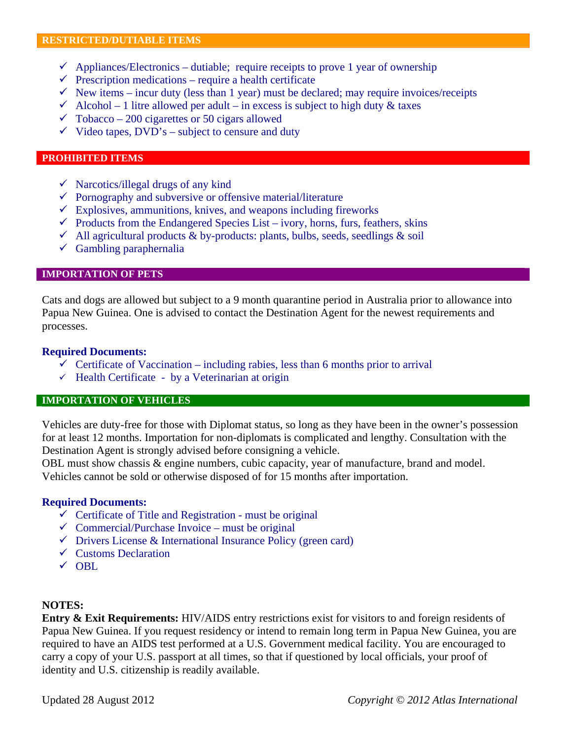- $\checkmark$  Appliances/Electronics dutiable; require receipts to prove 1 year of ownership
- $\checkmark$  Prescription medications require a health certificate
- $\checkmark$  New items incur duty (less than 1 year) must be declared; may require invoices/receipts
- $\checkmark$  Alcohol 1 litre allowed per adult in excess is subject to high duty & taxes
- $\checkmark$  Tobacco 200 cigarettes or 50 cigars allowed
- $\checkmark$  Video tapes, DVD's subject to censure and duty

#### **PROHIBITED ITEMS**

- $\checkmark$  Narcotics/illegal drugs of any kind
- $\checkmark$  Pornography and subversive or offensive material/literature
- $\checkmark$  Explosives, ammunitions, knives, and weapons including fireworks
- $\checkmark$  Products from the Endangered Species List ivory, horns, furs, feathers, skins
- $\checkmark$  All agricultural products & by-products: plants, bulbs, seeds, seedlings & soil
- $\checkmark$  Gambling paraphernalia

#### **IMPORTATION OF PETS**

Cats and dogs are allowed but subject to a 9 month quarantine period in Australia prior to allowance into Papua New Guinea. One is advised to contact the Destination Agent for the newest requirements and processes.

#### **Required Documents:**

- $\checkmark$  Certificate of Vaccination including rabies, less than 6 months prior to arrival
- $\checkmark$  Health Certificate by a Veterinarian at origin

#### **IMPORTATION OF VEHICLES**

Vehicles are duty-free for those with Diplomat status, so long as they have been in the owner's possession for at least 12 months. Importation for non-diplomats is complicated and lengthy. Consultation with the Destination Agent is strongly advised before consigning a vehicle.

OBL must show chassis & engine numbers, cubic capacity, year of manufacture, brand and model. Vehicles cannot be sold or otherwise disposed of for 15 months after importation.

#### **Required Documents:**

- $\checkmark$  Certificate of Title and Registration must be original
- $\checkmark$  Commercial/Purchase Invoice must be original
- $\checkmark$  Drivers License & International Insurance Policy (green card)
- $\checkmark$  Customs Declaration
- $\sqrt{OBL}$

#### **NOTES:**

**Entry & Exit Requirements:** HIV/AIDS entry restrictions exist for visitors to and foreign residents of Papua New Guinea. If you request residency or intend to remain long term in Papua New Guinea, you are required to have an AIDS test performed at a U.S. Government medical facility. You are encouraged to carry a copy of your U.S. passport at all times, so that if questioned by local officials, your proof of identity and U.S. citizenship is readily available.